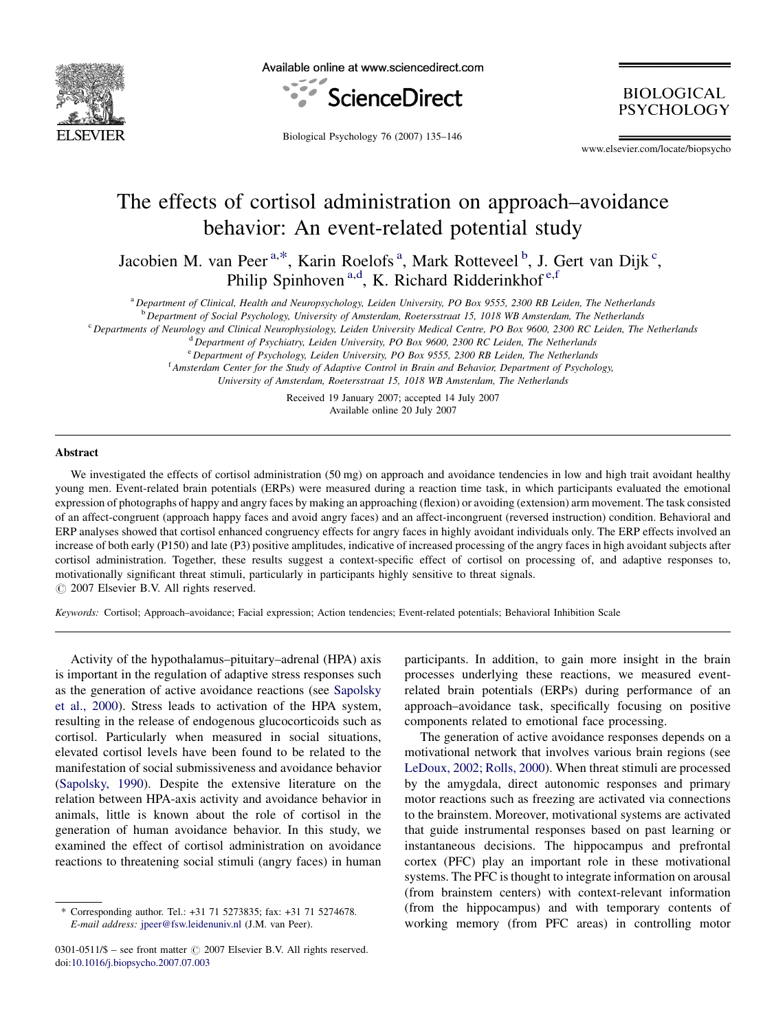

Available online at www.sciencedirect.com



**BIOLOGICAL** PSYCHOLOGY

Biological Psychology 76 (2007) 135–146

www.elsevier.com/locate/biopsycho

## The effects of cortisol administration on approach–avoidance behavior: An event-related potential study

Jacobien M. van Peer<sup>a,\*</sup>, Karin Roelofs<sup>a</sup>, Mark Rotteveel<sup>b</sup>, J. Gert van Dijk<sup>c</sup>, Philip Spinhoven<sup>a,d</sup>, K. Richard Ridderinkhof<sup>e,f</sup>

<sup>a</sup> Department of Clinical, Health and Neuropsychology, Leiden University, PO Box 9555, 2300 RB Leiden, The Netherlands

<sup>b</sup> Department of Social Psychology, University of Amsterdam, Roetersstraat 15, 1018 WB Amsterdam, The Netherlands

<sup>c</sup> Departments of Neurology and Clinical Neurophysiology, Leiden University Medical Centre, PO Box 9600, 2300 RC Leiden, The Netherlands

<sup>d</sup> Department of Psychiatry, Leiden University, PO Box 9600, 2300 RC Leiden, The Netherlands

<sup>e</sup> Department of Psychology, Leiden University, PO Box 9555, 2300 RB Leiden, The Netherlands

<sup>f</sup> Amsterdam Center for the Study of Adaptive Control in Brain and Behavior, Department of Psychology,

University of Amsterdam, Roetersstraat 15, 1018 WB Amsterdam, The Netherlands

Received 19 January 2007; accepted 14 July 2007 Available online 20 July 2007

## Abstract

We investigated the effects of cortisol administration (50 mg) on approach and avoidance tendencies in low and high trait avoidant healthy young men. Event-related brain potentials (ERPs) were measured during a reaction time task, in which participants evaluated the emotional expression of photographs of happy and angry faces by making an approaching (flexion) or avoiding (extension) arm movement. The task consisted of an affect-congruent (approach happy faces and avoid angry faces) and an affect-incongruent (reversed instruction) condition. Behavioral and ERP analyses showed that cortisol enhanced congruency effects for angry faces in highly avoidant individuals only. The ERP effects involved an increase of both early (P150) and late (P3) positive amplitudes, indicative of increased processing of the angry faces in high avoidant subjects after cortisol administration. Together, these results suggest a context-specific effect of cortisol on processing of, and adaptive responses to, motivationally significant threat stimuli, particularly in participants highly sensitive to threat signals.

 $\circ$  2007 Elsevier B.V. All rights reserved.

Keywords: Cortisol; Approach–avoidance; Facial expression; Action tendencies; Event-related potentials; Behavioral Inhibition Scale

Activity of the hypothalamus–pituitary–adrenal (HPA) axis is important in the regulation of adaptive stress responses such as the generation of active avoidance reactions (see [Sapolsky](#page--1-0) [et al., 2000\)](#page--1-0). Stress leads to activation of the HPA system, resulting in the release of endogenous glucocorticoids such as cortisol. Particularly when measured in social situations, elevated cortisol levels have been found to be related to the manifestation of social submissiveness and avoidance behavior ([Sapolsky, 1990\)](#page--1-0). Despite the extensive literature on the relation between HPA-axis activity and avoidance behavior in animals, little is known about the role of cortisol in the generation of human avoidance behavior. In this study, we examined the effect of cortisol administration on avoidance reactions to threatening social stimuli (angry faces) in human

participants. In addition, to gain more insight in the brain processes underlying these reactions, we measured eventrelated brain potentials (ERPs) during performance of an approach–avoidance task, specifically focusing on positive components related to emotional face processing.

The generation of active avoidance responses depends on a motivational network that involves various brain regions (see [LeDoux, 2002; Rolls, 2000\)](#page--1-0). When threat stimuli are processed by the amygdala, direct autonomic responses and primary motor reactions such as freezing are activated via connections to the brainstem. Moreover, motivational systems are activated that guide instrumental responses based on past learning or instantaneous decisions. The hippocampus and prefrontal cortex (PFC) play an important role in these motivational systems. The PFC is thought to integrate information on arousal (from brainstem centers) with context-relevant information (from the hippocampus) and with temporary contents of working memory (from PFC areas) in controlling motor

<sup>\*</sup> Corresponding author. Tel.: +31 71 5273835; fax: +31 71 5274678. E-mail address: [jpeer@fsw.leidenuniv.nl](mailto:jpeer@fsw.leidenuniv.nl) (J.M. van Peer).

<sup>0301-0511/\$ –</sup> see front matter  $\odot$  2007 Elsevier B.V. All rights reserved. doi:[10.1016/j.biopsycho.2007.07.003](http://dx.doi.org/10.1016/j.biopsycho.2007.07.003)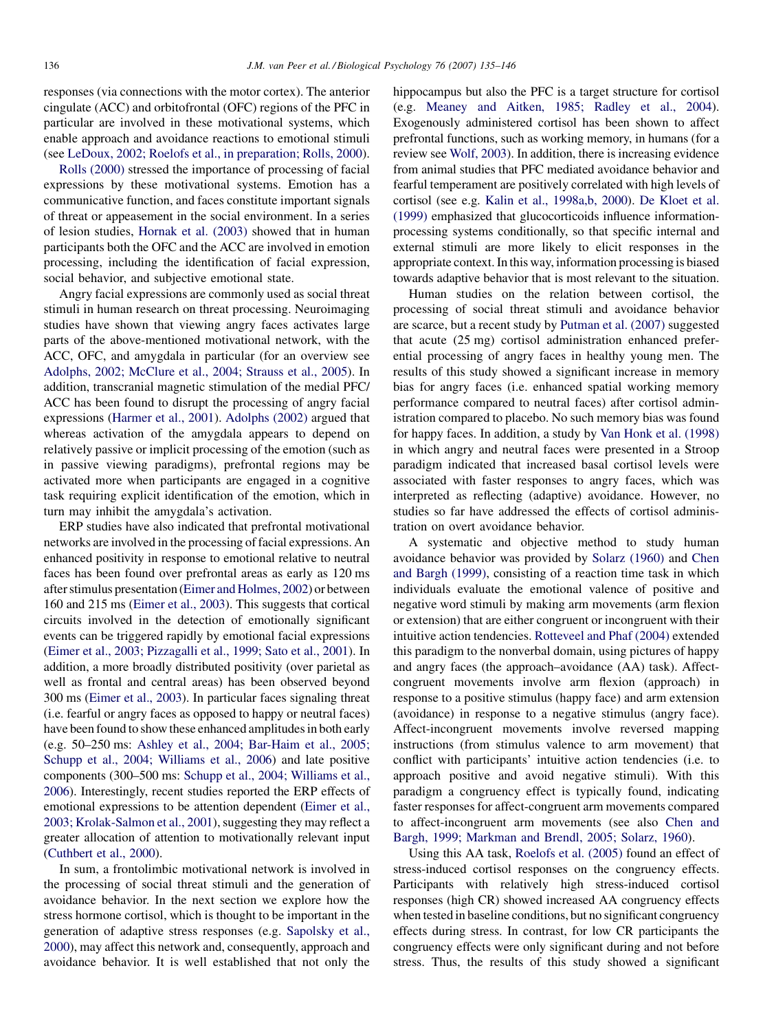responses (via connections with the motor cortex). The anterior cingulate (ACC) and orbitofrontal (OFC) regions of the PFC in particular are involved in these motivational systems, which enable approach and avoidance reactions to emotional stimuli (see [LeDoux, 2002; Roelofs et al., in preparation; Rolls, 2000\)](#page--1-0).

[Rolls \(2000\)](#page--1-0) stressed the importance of processing of facial expressions by these motivational systems. Emotion has a communicative function, and faces constitute important signals of threat or appeasement in the social environment. In a series of lesion studies, [Hornak et al. \(2003\)](#page--1-0) showed that in human participants both the OFC and the ACC are involved in emotion processing, including the identification of facial expression, social behavior, and subjective emotional state.

Angry facial expressions are commonly used as social threat stimuli in human research on threat processing. Neuroimaging studies have shown that viewing angry faces activates large parts of the above-mentioned motivational network, with the ACC, OFC, and amygdala in particular (for an overview see [Adolphs, 2002; McClure et al., 2004; Strauss et al., 2005](#page--1-0)). In addition, transcranial magnetic stimulation of the medial PFC/ ACC has been found to disrupt the processing of angry facial expressions [\(Harmer et al., 2001\)](#page--1-0). [Adolphs \(2002\)](#page--1-0) argued that whereas activation of the amygdala appears to depend on relatively passive or implicit processing of the emotion (such as in passive viewing paradigms), prefrontal regions may be activated more when participants are engaged in a cognitive task requiring explicit identification of the emotion, which in turn may inhibit the amygdala's activation.

ERP studies have also indicated that prefrontal motivational networks are involved in the processing of facial expressions. An enhanced positivity in response to emotional relative to neutral faces has been found over prefrontal areas as early as 120 ms after stimulus presentation [\(Eimer and Holmes, 2002](#page--1-0)) or between 160 and 215 ms ([Eimer et al., 2003](#page--1-0)). This suggests that cortical circuits involved in the detection of emotionally significant events can be triggered rapidly by emotional facial expressions ([Eimer et al., 2003; Pizzagalli et al., 1999; Sato et al., 2001](#page--1-0)). In addition, a more broadly distributed positivity (over parietal as well as frontal and central areas) has been observed beyond 300 ms ([Eimer et al., 2003](#page--1-0)). In particular faces signaling threat (i.e. fearful or angry faces as opposed to happy or neutral faces) have been found to show these enhanced amplitudes in both early (e.g. 50–250 ms: [Ashley et al., 2004; Bar-Haim et al., 2005;](#page--1-0) [Schupp et al., 2004; Williams et al., 2006](#page--1-0)) and late positive components (300–500 ms: [Schupp et al., 2004; Williams et al.,](#page--1-0) [2006](#page--1-0)). Interestingly, recent studies reported the ERP effects of emotional expressions to be attention dependent ([Eimer et al.,](#page--1-0) [2003; Krolak-Salmon et al., 2001\)](#page--1-0), suggesting they may reflect a greater allocation of attention to motivationally relevant input ([Cuthbert et al., 2000](#page--1-0)).

In sum, a frontolimbic motivational network is involved in the processing of social threat stimuli and the generation of avoidance behavior. In the next section we explore how the stress hormone cortisol, which is thought to be important in the generation of adaptive stress responses (e.g. [Sapolsky et al.,](#page--1-0) [2000\)](#page--1-0), may affect this network and, consequently, approach and avoidance behavior. It is well established that not only the hippocampus but also the PFC is a target structure for cortisol (e.g. [Meaney and Aitken, 1985; Radley et al., 2004\)](#page--1-0). Exogenously administered cortisol has been shown to affect prefrontal functions, such as working memory, in humans (for a review see [Wolf, 2003](#page--1-0)). In addition, there is increasing evidence from animal studies that PFC mediated avoidance behavior and fearful temperament are positively correlated with high levels of cortisol (see e.g. [Kalin et al., 1998a,b, 2000\)](#page--1-0). [De Kloet et al.](#page--1-0) [\(1999\)](#page--1-0) emphasized that glucocorticoids influence informationprocessing systems conditionally, so that specific internal and external stimuli are more likely to elicit responses in the appropriate context. In this way, information processing is biased towards adaptive behavior that is most relevant to the situation.

Human studies on the relation between cortisol, the processing of social threat stimuli and avoidance behavior are scarce, but a recent study by [Putman et al. \(2007\)](#page--1-0) suggested that acute (25 mg) cortisol administration enhanced preferential processing of angry faces in healthy young men. The results of this study showed a significant increase in memory bias for angry faces (i.e. enhanced spatial working memory performance compared to neutral faces) after cortisol administration compared to placebo. No such memory bias was found for happy faces. In addition, a study by [Van Honk et al. \(1998\)](#page--1-0) in which angry and neutral faces were presented in a Stroop paradigm indicated that increased basal cortisol levels were associated with faster responses to angry faces, which was interpreted as reflecting (adaptive) avoidance. However, no studies so far have addressed the effects of cortisol administration on overt avoidance behavior.

A systematic and objective method to study human avoidance behavior was provided by [Solarz \(1960\)](#page--1-0) and [Chen](#page--1-0) [and Bargh \(1999\)](#page--1-0), consisting of a reaction time task in which individuals evaluate the emotional valence of positive and negative word stimuli by making arm movements (arm flexion or extension) that are either congruent or incongruent with their intuitive action tendencies. [Rotteveel and Phaf \(2004\)](#page--1-0) extended this paradigm to the nonverbal domain, using pictures of happy and angry faces (the approach–avoidance (AA) task). Affectcongruent movements involve arm flexion (approach) in response to a positive stimulus (happy face) and arm extension (avoidance) in response to a negative stimulus (angry face). Affect-incongruent movements involve reversed mapping instructions (from stimulus valence to arm movement) that conflict with participants' intuitive action tendencies (i.e. to approach positive and avoid negative stimuli). With this paradigm a congruency effect is typically found, indicating faster responses for affect-congruent arm movements compared to affect-incongruent arm movements (see also [Chen and](#page--1-0) [Bargh, 1999; Markman and Brendl, 2005; Solarz, 1960](#page--1-0)).

Using this AA task, [Roelofs et al. \(2005\)](#page--1-0) found an effect of stress-induced cortisol responses on the congruency effects. Participants with relatively high stress-induced cortisol responses (high CR) showed increased AA congruency effects when tested in baseline conditions, but no significant congruency effects during stress. In contrast, for low CR participants the congruency effects were only significant during and not before stress. Thus, the results of this study showed a significant